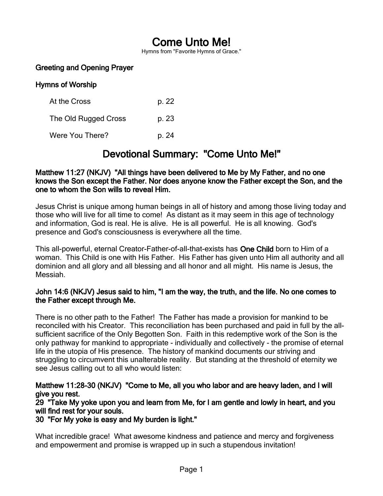# Come Unto Me!

Hymns from "Favorite Hymns of Grace."

# Greeting and Opening Prayer

### Hymns of Worship

| At the Cross         | p. 22 |
|----------------------|-------|
| The Old Rugged Cross | p. 23 |
| Were You There?      | p. 24 |

# Devotional Summary: "Come Unto Me!"

#### Matthew 11:27 (NKJV) "All things have been delivered to Me by My Father, and no one knows the Son except the Father. Nor does anyone know the Father except the Son, and the one to whom the Son wills to reveal Him.

Jesus Christ is unique among human beings in all of history and among those living today and those who will live for all time to come! As distant as it may seem in this age of technology and information, God is real. He is alive. He is all powerful. He is all knowing. God's presence and God's consciousness is everywhere all the time.

This all-powerful, eternal Creator-Father-of-all-that-exists has One Child born to Him of a woman. This Child is one with His Father. His Father has given unto Him all authority and all dominion and all glory and all blessing and all honor and all might. His name is Jesus, the Messiah.

#### John 14:6 (NKJV) Jesus said to him, "I am the way, the truth, and the life. No one comes to the Father except through Me.

There is no other path to the Father! The Father has made a provision for mankind to be reconciled with his Creator. This reconciliation has been purchased and paid in full by the allsufficient sacrifice of the Only Begotten Son. Faith in this redemptive work of the Son is the only pathway for mankind to appropriate - individually and collectively - the promise of eternal life in the utopia of His presence. The history of mankind documents our striving and struggling to circumvent this unalterable reality. But standing at the threshold of eternity we see Jesus calling out to all who would listen:

### Matthew 11:28-30 (NKJV) "Come to Me, all you who labor and are heavy laden, and I will give you rest.

29 "Take My yoke upon you and learn from Me, for I am gentle and lowly in heart, and you will find rest for your souls.

#### 30 "For My yoke is easy and My burden is light."

What incredible grace! What awesome kindness and patience and mercy and forgiveness and empowerment and promise is wrapped up in such a stupendous invitation!